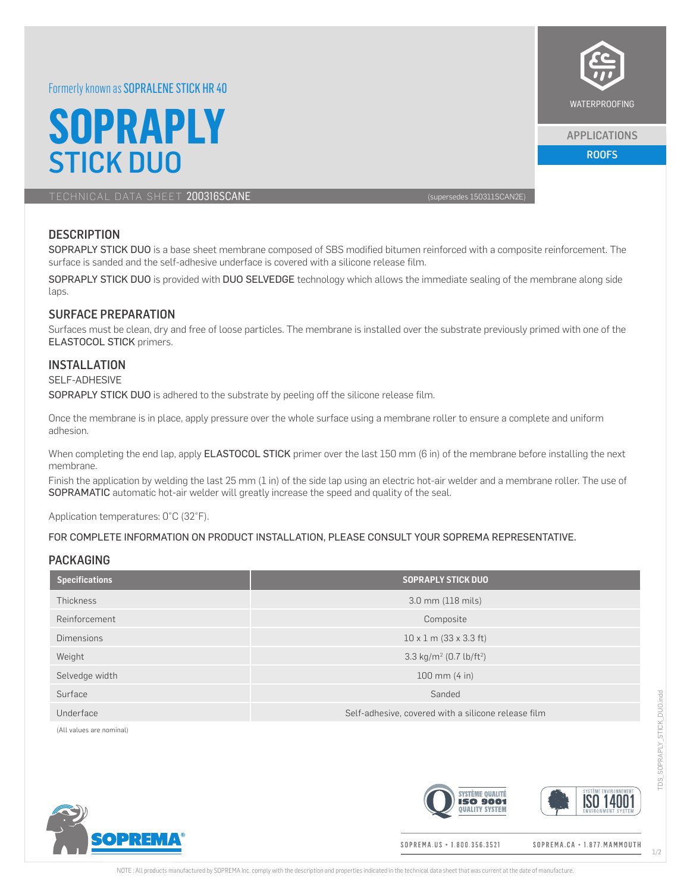## Formerly known as SOPRALENE STICK HR 40

# **SOPRAPLY** STICK DUO ROOFS AND DEVELOPED A ROOFS AND RESEARCH THE ROOFS AND RESEARCH THE ROOFS AND RESEARCH THE ROOFS AND

TECHNICAL DATA SHEET 200316SCANE (supersedes 150311SCAN2E)

## **DESCRIPTION**

SOPRAPLY STICK DUO is a base sheet membrane composed of SBS modified bitumen reinforced with a composite reinforcement. The surface is sanded and the self-adhesive underface is covered with a silicone release film.

SOPRAPLY STICK DUO is provided with DUO SELVEDGE technology which allows the immediate sealing of the membrane along side laps.

## SURFACE PREPARATION

Surfaces must be clean, dry and free of loose particles. The membrane is installed over the substrate previously primed with one of the ELASTOCOL STICK primers.

### **INSTALLATION**

#### SELF-ADHESIVE

SOPRAPLY STICK DUO is adhered to the substrate by peeling off the silicone release film.

Once the membrane is in place, apply pressure over the whole surface using a membrane roller to ensure a complete and uniform adhesion.

When completing the end lap, apply ELASTOCOL STICK primer over the last 150 mm (6 in) of the membrane before installing the next membrane.

Finish the application by welding the last 25 mm (1 in) of the side lap using an electric hot-air welder and a membrane roller. The use of SOPRAMATIC automatic hot-air welder will greatly increase the speed and quality of the seal.

Application temperatures: 0°C (32°F).

#### FOR COMPLETE INFORMATION ON PRODUCT INSTALLATION, PLEASE CONSULT YOUR SOPREMA REPRESENTATIVE.

#### PACKAGING

| <b>Specifications</b> | <b>SOPRAPLY STICK DUO</b>                           |  |
|-----------------------|-----------------------------------------------------|--|
| Thickness             | 3.0 mm (118 mils)                                   |  |
| Reinforcement         | Composite                                           |  |
| <b>Dimensions</b>     | $10 \times 1$ m (33 x 3.3 ft)                       |  |
| Weight                | 3.3 kg/m <sup>2</sup> (0.7 lb/ft <sup>2</sup> )     |  |
| Selvedge width        | $100 \, \text{mm}$ (4 in)                           |  |
| Surface               | Sanded                                              |  |
| Underface             | Self-adhesive, covered with a silicone release film |  |

(All values are nominal)







SOPREMA.US · 1.800.356.3521

SOPREMA.CA · 1.877. MAMMOUTH

1/2



APPLICATIONS